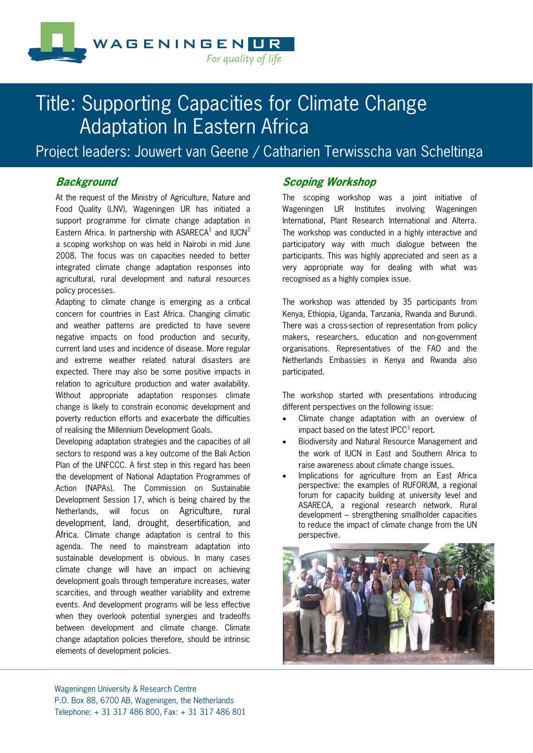

# Title: Supporting Capacities for Climate Change Adaptation In Eastern Africa

Project leaders: Jouwert van Geene / Catharien Terwisscha van Scheltinga

# **Background**

At the request of the Ministry of Agriculture, Nature and Food Quality (LNV), Wageningen UR has initiated a support programme for climate change adaptation in Eastern Africa. In partnership with ASARECA $^1$  and IUCN $^2$ a scoping workshop on was held in Nairobi in mid June 2008. The focus was on capacities needed to better integrated climate change adaptation responses into agricultural, rural development and natural resources policy processes.

Adapting to climate change is emerging as a critical concern for countries in East Africa. Changing climatic and weather patterns are predicted to have severe negative impacts on food production and security, current land uses and incidence of disease. More regular and extreme weather related natural disasters are expected. There may also be some positive impacts in relation to agriculture production and water availability. Without appropriate adaptation responses climate change is likely to constrain economic development and poverty reduction efforts and exacerbate the difficulties of realising the Millennium Development Goals.

Developing adaptation strategies and the capacities of all sectors to respond was a key outcome of the Bali Action Plan of the UNFCCC. A first step in this regard has been the development of National Adaptation Programmes of Action (NAPAs). The Commission on Sustainable Development Session 17, which is being chaired by the Netherlands, will focus on Agriculture, rural development, land, drought, desertification, and Africa. Climate change adaptation is central to this agenda. The need to mainstream adaptation into sustainable development is obvious. In many cases climate change will have an impact on achieving development goals through temperature increases, water scarcities, and through weather variability and extreme events. And development programs will be less effective when they overlook potential synergies and tradeoffs between development and climate change. Climate change adaptation policies therefore, should be intrinsic elements of development policies.

# **Scoping Workshop**

The scoping workshop was a joint initiative of Wageningen UR Institutes involving Wageningen International, Plant Research International and Alterra. The workshop was conducted in a highly interactive and participatory way with much dialogue between the participants. This was highly appreciated and seen as a very appropriate way for dealing with what was recognised as a highly complex issue.

The workshop was attended by 35 participants from Kenya, Ethiopia, Uganda, Tanzania, Rwanda and Burundi. There was a cross-section of representation from policy makers, researchers, education and non-government organisations. Representatives of the FAO and the Netherlands Embassies in Kenya and Rwanda also participated.

The workshop started with presentations introducing different perspectives on the following issue:

- Climate change adaptation with an overview of impact based on the latest IPCC $3$  report.
- Biodiversity and Natural Resource Management and the work of IUCN in East and Southern Africa to raise awareness about climate change issues.
- Implications for agriculture from an East Africa perspective: the examples of RUFORUM, a regional forum for capacity building at university level and ASARECA, a regional research network. Rural development – strengthening smallholder capacities to reduce the impact of climate change from the UN perspective.

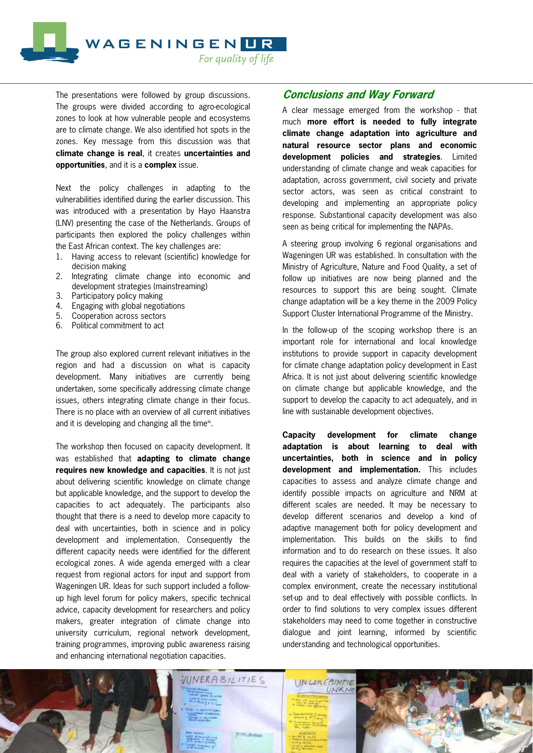

The presentations were followed by group discussions. The groups were divided according to agro-ecological zones to look at how vulnerable people and ecosystems are to climate change. We also identified hot spots in the zones. Key message from this discussion was that **climate change is real**, it creates **uncertainties and opportunities**, and it is a **complex** issue.

Next the policy challenges in adapting to the vulnerabilities identified during the earlier discussion. This was introduced with a presentation by Hayo Haanstra (LNV) presenting the case of the Netherlands. Groups of participants then explored the policy challenges within the East African context. The key challenges are:

- 1. Having access to relevant (scientific) knowledge for decision making
- 2. Integrating climate change into economic and development strategies (mainstreaming)
- 3. Participatory policy making
- 4. Engaging with global negotiations
- 5. Cooperation across sectors
- 6. Political commitment to act

The group also explored current relevant initiatives in the region and had a discussion on what is capacity development. Many initiatives are currently being undertaken, some specifically addressing climate change issues, others integrating climate change in their focus. There is no place with an overview of all current initiatives and it is developing and changing all the time<sup>iv</sup>.

The workshop then focused on capacity development. It was established that **adapting to climate change requires new knowledge and capacities**. It is not just about delivering scientific knowledge on climate change but applicable knowledge, and the support to develop the capacities to act adequately. The participants also thought that there is a need to develop more capacity to deal with uncertainties, both in science and in policy development and implementation. Consequently the different capacity needs were identified for the different ecological zones. A wide agenda emerged with a clear request from regional actors for input and support from Wageningen UR. Ideas for such support included a followup high level forum for policy makers, specific technical advice, capacity development for researchers and policy makers, greater integration of climate change into university curriculum, regional network development, training programmes, improving public awareness raising and enhancing international negotiation capacities.

# **Conclusions and Way Forward**

A clear message emerged from the workshop - that much **more effort is needed to fully integrate climate change adaptation into agriculture and natural resource sector plans and economic development policies and strategies**. Limited understanding of climate change and weak capacities for adaptation, across government, civil society and private sector actors, was seen as critical constraint to developing and implementing an appropriate policy response. Substantional capacity development was also seen as being critical for implementing the NAPAs.

A steering group involving 6 regional organisations and Wageningen UR was established. In consultation with the Ministry of Agriculture, Nature and Food Quality, a set of follow up initiatives are now being planned and the resources to support this are being sought. Climate change adaptation will be a key theme in the 2009 Policy Support Cluster International Programme of the Ministry.

In the follow-up of the scoping workshop there is an important role for international and local knowledge institutions to provide support in capacity development for climate change adaptation policy development in East Africa. It is not just about delivering scientific knowledge on climate change but applicable knowledge, and the support to develop the capacity to act adequately, and in line with sustainable development objectives.

**Capacity development for climate change adaptation is about learning to deal with uncertainties, both in science and in policy development and implementation.** This includes capacities to assess and analyze climate change and identify possible impacts on agriculture and NRM at different scales are needed. It may be necessary to develop different scenarios and develop a kind of adaptive management both for policy development and implementation. This builds on the skills to find information and to do research on these issues. It also requires the capacities at the level of government staff to deal with a variety of stakeholders, to cooperate in a complex environment, create the necessary institutional set-up and to deal effectively with possible conflicts. In order to find solutions to very complex issues different stakeholders may need to come together in constructive dialogue and joint learning, informed by scientific understanding and technological opportunities.

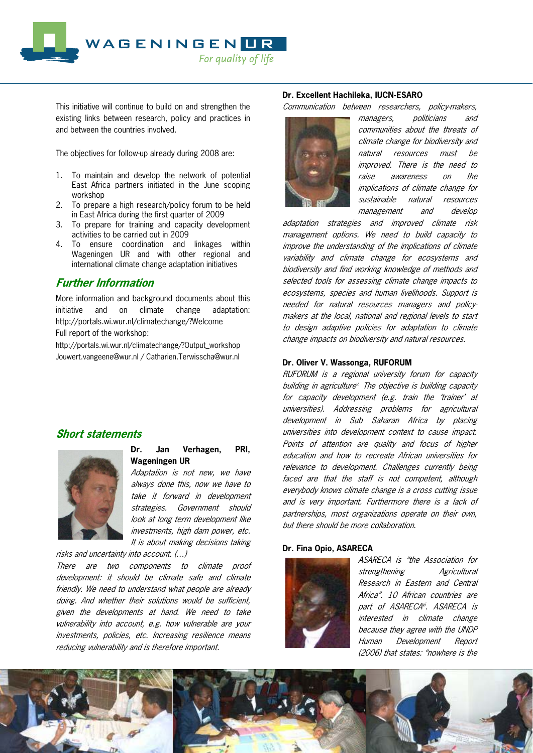

This initiative will continue to build on and strengthen the existing links between research, policy and practices in and between the countries involved.

The objectives for follow-up already during 2008 are:

- 1. To maintain and develop the network of potential East Africa partners initiated in the June scoping workshop
- 2. To prepare a high research/policy forum to be held in East Africa during the first quarter of 2009
- 3. To prepare for training and capacity development activities to be carried out in 2009
- 4. To ensure coordination and linkages within Wageningen UR and with other regional and international climate change adaptation initiatives

# **Further Information**

More information and background documents about this initiative and on climate change adaptation: http://portals.wi.wur.nl/climatechange/?Welcome Full report of the workshop:

http://portals.wi.wur.nl/climatechange/?Output\_workshop Jouwert.vangeene@wur.nl / Catharien.Terwisscha@wur.nl

# **Short statements**



## **Dr. Jan Verhagen, PRI, Wageningen UR**

Adaptation is not new, we have always done this, now we have to take it forward in development strategies. Government should look at long term development like investments, high dam power, etc. It is about making decisions taking

risks and uncertainty into account. (…)

There are two components to climate proof development: it should be climate safe and climate friendly. We need to understand what people are already doing. And whether their solutions would be sufficient, given the developments at hand. We need to take vulnerability into account, e.g. how vulnerable are your investments, policies, etc. Increasing resilience means reducing vulnerability and is therefore important.

## **Dr. Excellent Hachileka, IUCN-ESARO**

Communication between researchers, policy-makers,



managers, politicians and communities about the threats of climate change for biodiversity and natural resources must be improved. There is the need to raise awareness on the implications of climate change for sustainable natural resources management and develop

adaptation strategies and improved climate risk management options. We need to build capacity to improve the understanding of the implications of climate variability and climate change for ecosystems and biodiversity and find working knowledge of methods and selected tools for assessing climate change impacts to ecosystems, species and human livelihoods. Support is needed for natural resources managers and policymakers at the local, national and regional levels to start to design adaptive policies for adaptation to climate change impacts on biodiversity and natural resources.

### **Dr. Oliver V. Wassonga, RUFORUM**

RUFORUM is a regional university forum for capacity building in agriculture<sup>y.</sup> The objective is building capacity for capacity development (e.g. train the 'trainer' at universities). Addressing problems for agricultural development in Sub Saharan Africa by placing universities into development context to cause impact. Points of attention are quality and focus of higher education and how to recreate African universities for relevance to development. Challenges currently being faced are that the staff is not competent, although everybody knows climate change is a cross cutting issue and is very important. Furthermore there is a lack of partnerships, most organizations operate on their own, but there should be more collaboration.

#### **Dr. Fina Opio, ASARECA**



ASARECA is "the Association for strengthening Agricultural Research in Eastern and Central Africa". 10 African countries are part of ASARECA<sup>vi</sup>. ASARECA is interested in climate change because they agree with the UNDP Human Development Report (2006) that states: "nowhere is the